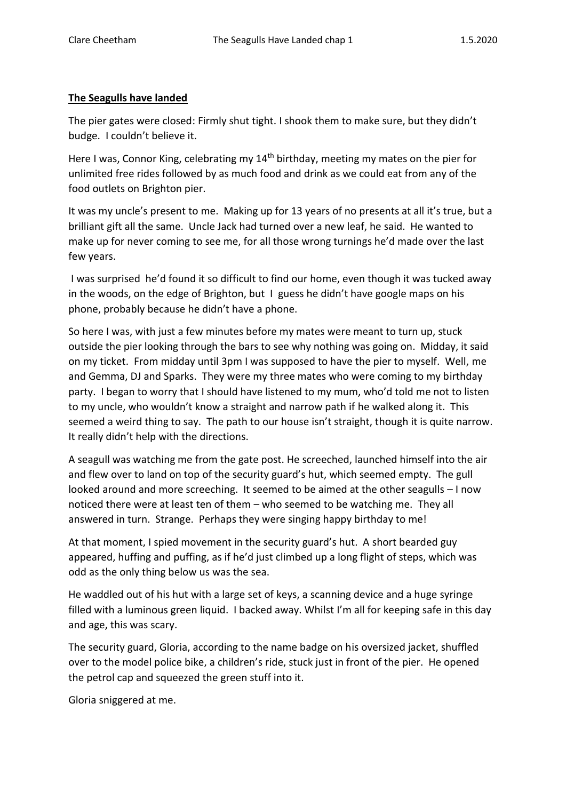## **The Seagulls have landed**

The pier gates were closed: Firmly shut tight. I shook them to make sure, but they didn't budge. I couldn't believe it.

Here I was, Connor King, celebrating my 14<sup>th</sup> birthday, meeting my mates on the pier for unlimited free rides followed by as much food and drink as we could eat from any of the food outlets on Brighton pier.

It was my uncle's present to me. Making up for 13 years of no presents at all it's true, but a brilliant gift all the same. Uncle Jack had turned over a new leaf, he said. He wanted to make up for never coming to see me, for all those wrong turnings he'd made over the last few years.

I was surprised he'd found it so difficult to find our home, even though it was tucked away in the woods, on the edge of Brighton, but I guess he didn't have google maps on his phone, probably because he didn't have a phone.

So here I was, with just a few minutes before my mates were meant to turn up, stuck outside the pier looking through the bars to see why nothing was going on. Midday, it said on my ticket. From midday until 3pm I was supposed to have the pier to myself. Well, me and Gemma, DJ and Sparks. They were my three mates who were coming to my birthday party. I began to worry that I should have listened to my mum, who'd told me not to listen to my uncle, who wouldn't know a straight and narrow path if he walked along it. This seemed a weird thing to say. The path to our house isn't straight, though it is quite narrow. It really didn't help with the directions.

A seagull was watching me from the gate post. He screeched, launched himself into the air and flew over to land on top of the security guard's hut, which seemed empty. The gull looked around and more screeching. It seemed to be aimed at the other seagulls – I now noticed there were at least ten of them – who seemed to be watching me. They all answered in turn. Strange. Perhaps they were singing happy birthday to me!

At that moment, I spied movement in the security guard's hut. A short bearded guy appeared, huffing and puffing, as if he'd just climbed up a long flight of steps, which was odd as the only thing below us was the sea.

He waddled out of his hut with a large set of keys, a scanning device and a huge syringe filled with a luminous green liquid. I backed away. Whilst I'm all for keeping safe in this day and age, this was scary.

The security guard, Gloria, according to the name badge on his oversized jacket, shuffled over to the model police bike, a children's ride, stuck just in front of the pier. He opened the petrol cap and squeezed the green stuff into it.

Gloria sniggered at me.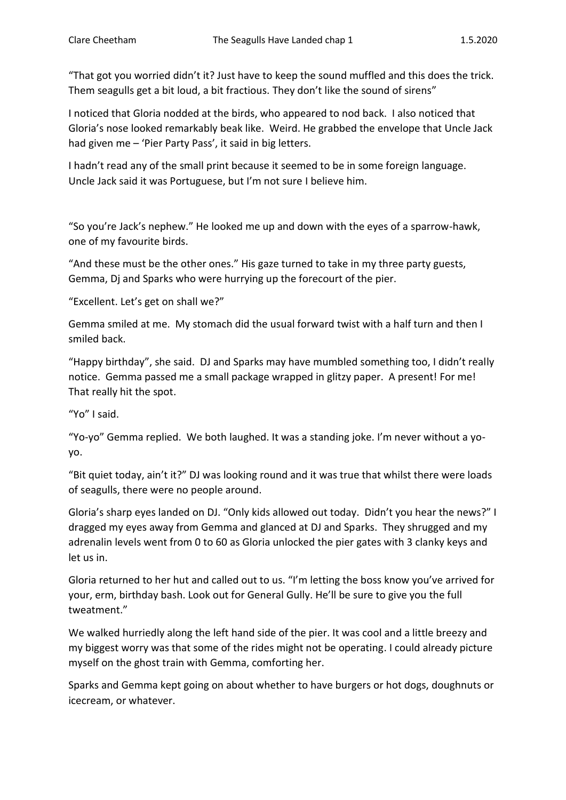"That got you worried didn't it? Just have to keep the sound muffled and this does the trick. Them seagulls get a bit loud, a bit fractious. They don't like the sound of sirens"

I noticed that Gloria nodded at the birds, who appeared to nod back. I also noticed that Gloria's nose looked remarkably beak like. Weird. He grabbed the envelope that Uncle Jack had given me – 'Pier Party Pass', it said in big letters.

I hadn't read any of the small print because it seemed to be in some foreign language. Uncle Jack said it was Portuguese, but I'm not sure I believe him.

"So you're Jack's nephew." He looked me up and down with the eyes of a sparrow-hawk, one of my favourite birds.

"And these must be the other ones." His gaze turned to take in my three party guests, Gemma, Dj and Sparks who were hurrying up the forecourt of the pier.

"Excellent. Let's get on shall we?"

Gemma smiled at me. My stomach did the usual forward twist with a half turn and then I smiled back.

"Happy birthday", she said. DJ and Sparks may have mumbled something too, I didn't really notice. Gemma passed me a small package wrapped in glitzy paper. A present! For me! That really hit the spot.

"Yo" I said.

"Yo-yo" Gemma replied. We both laughed. It was a standing joke. I'm never without a yoyo.

"Bit quiet today, ain't it?" DJ was looking round and it was true that whilst there were loads of seagulls, there were no people around.

Gloria's sharp eyes landed on DJ. "Only kids allowed out today. Didn't you hear the news?" I dragged my eyes away from Gemma and glanced at DJ and Sparks. They shrugged and my adrenalin levels went from 0 to 60 as Gloria unlocked the pier gates with 3 clanky keys and let us in.

Gloria returned to her hut and called out to us. "I'm letting the boss know you've arrived for your, erm, birthday bash. Look out for General Gully. He'll be sure to give you the full tweatment."

We walked hurriedly along the left hand side of the pier. It was cool and a little breezy and my biggest worry was that some of the rides might not be operating. I could already picture myself on the ghost train with Gemma, comforting her.

Sparks and Gemma kept going on about whether to have burgers or hot dogs, doughnuts or icecream, or whatever.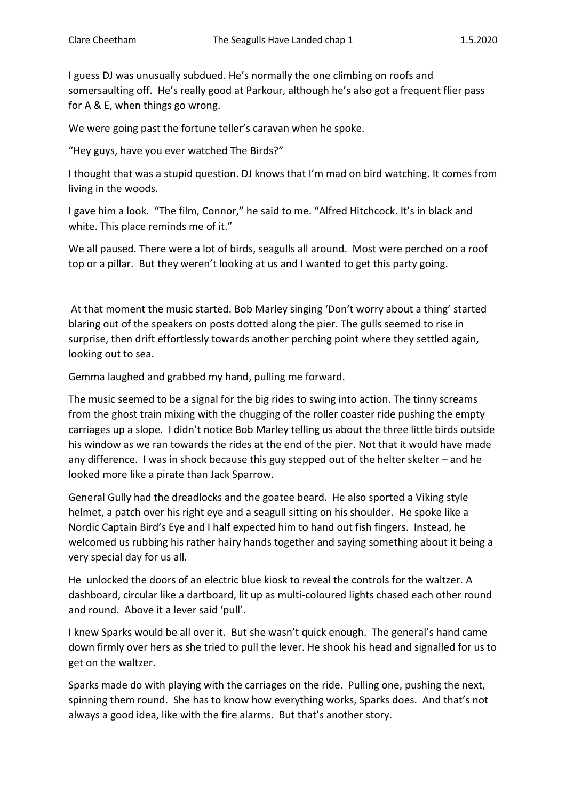I guess DJ was unusually subdued. He's normally the one climbing on roofs and somersaulting off. He's really good at Parkour, although he's also got a frequent flier pass for A & E, when things go wrong.

We were going past the fortune teller's caravan when he spoke.

"Hey guys, have you ever watched The Birds?"

I thought that was a stupid question. DJ knows that I'm mad on bird watching. It comes from living in the woods.

I gave him a look. "The film, Connor," he said to me. "Alfred Hitchcock. It's in black and white. This place reminds me of it."

We all paused. There were a lot of birds, seagulls all around. Most were perched on a roof top or a pillar. But they weren't looking at us and I wanted to get this party going.

At that moment the music started. Bob Marley singing 'Don't worry about a thing' started blaring out of the speakers on posts dotted along the pier. The gulls seemed to rise in surprise, then drift effortlessly towards another perching point where they settled again, looking out to sea.

Gemma laughed and grabbed my hand, pulling me forward.

The music seemed to be a signal for the big rides to swing into action. The tinny screams from the ghost train mixing with the chugging of the roller coaster ride pushing the empty carriages up a slope. I didn't notice Bob Marley telling us about the three little birds outside his window as we ran towards the rides at the end of the pier. Not that it would have made any difference. I was in shock because this guy stepped out of the helter skelter – and he looked more like a pirate than Jack Sparrow.

General Gully had the dreadlocks and the goatee beard. He also sported a Viking style helmet, a patch over his right eye and a seagull sitting on his shoulder. He spoke like a Nordic Captain Bird's Eye and I half expected him to hand out fish fingers. Instead, he welcomed us rubbing his rather hairy hands together and saying something about it being a very special day for us all.

He unlocked the doors of an electric blue kiosk to reveal the controls for the waltzer. A dashboard, circular like a dartboard, lit up as multi-coloured lights chased each other round and round. Above it a lever said 'pull'.

I knew Sparks would be all over it. But she wasn't quick enough. The general's hand came down firmly over hers as she tried to pull the lever. He shook his head and signalled for us to get on the waltzer.

Sparks made do with playing with the carriages on the ride. Pulling one, pushing the next, spinning them round. She has to know how everything works, Sparks does. And that's not always a good idea, like with the fire alarms. But that's another story.